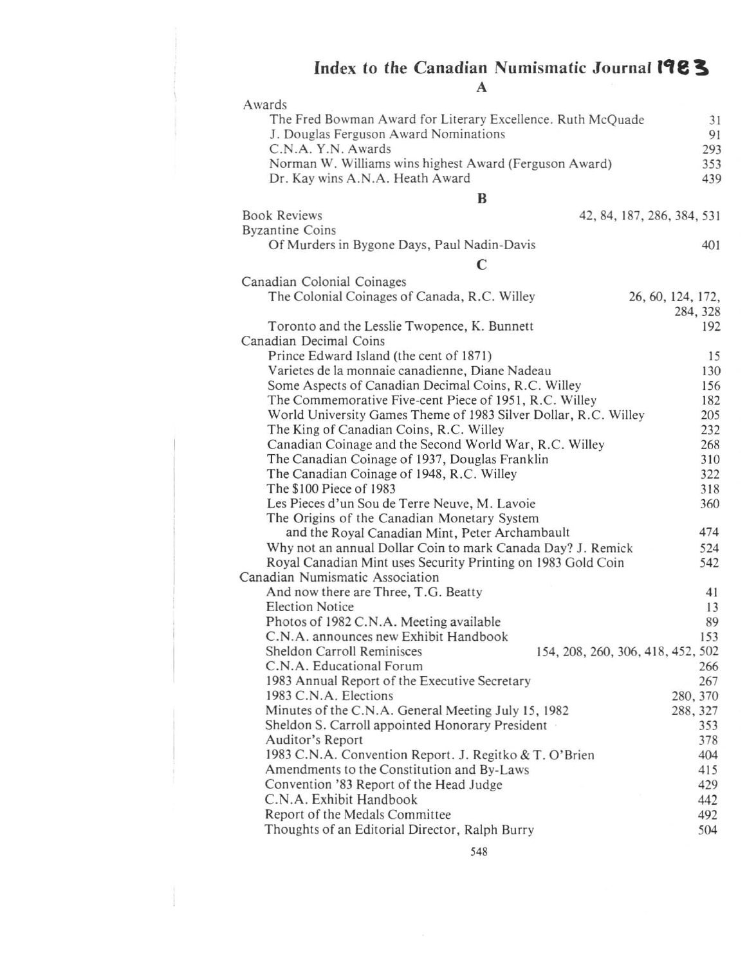## **Index to the Canadian Numismatic Journal11e!.**

| Y. |  |  |
|----|--|--|
|    |  |  |

| A                                                                                             |          |  |  |  |
|-----------------------------------------------------------------------------------------------|----------|--|--|--|
| Awards                                                                                        |          |  |  |  |
| The Fred Bowman Award for Literary Excellence. Ruth McQuade                                   |          |  |  |  |
| J. Douglas Ferguson Award Nominations                                                         |          |  |  |  |
| C.N.A. Y.N. Awards                                                                            | 293      |  |  |  |
| Norman W. Williams wins highest Award (Ferguson Award)                                        |          |  |  |  |
| Dr. Kay wins A.N.A. Heath Award                                                               | 439      |  |  |  |
| B                                                                                             |          |  |  |  |
| <b>Book Reviews</b><br>42, 84, 187, 286, 384, 531                                             |          |  |  |  |
| <b>Byzantine Coins</b>                                                                        |          |  |  |  |
| Of Murders in Bygone Days, Paul Nadin-Davis                                                   | 401      |  |  |  |
|                                                                                               |          |  |  |  |
| $\mathbf C$                                                                                   |          |  |  |  |
| Canadian Colonial Coinages                                                                    |          |  |  |  |
| The Colonial Coinages of Canada, R.C. Willey<br>26, 60, 124, 172,                             |          |  |  |  |
|                                                                                               | 284, 328 |  |  |  |
| Toronto and the Lesslie Twopence, K. Bunnett                                                  | 192      |  |  |  |
| Canadian Decimal Coins                                                                        |          |  |  |  |
| Prince Edward Island (the cent of 1871)                                                       | 15       |  |  |  |
| Varietes de la monnaie canadienne, Diane Nadeau                                               | 130      |  |  |  |
| Some Aspects of Canadian Decimal Coins, R.C. Willey                                           | 156      |  |  |  |
| The Commemorative Five-cent Piece of 1951, R.C. Willey                                        | 182      |  |  |  |
| World University Games Theme of 1983 Silver Dollar, R.C. Willey                               | 205      |  |  |  |
| The King of Canadian Coins, R.C. Willey                                                       | 232      |  |  |  |
| Canadian Coinage and the Second World War, R.C. Willey                                        | 268      |  |  |  |
| The Canadian Coinage of 1937, Douglas Franklin                                                | 310      |  |  |  |
| The Canadian Coinage of 1948, R.C. Willey                                                     | 322      |  |  |  |
| The \$100 Piece of 1983                                                                       | 318      |  |  |  |
| Les Pieces d'un Sou de Terre Neuve, M. Lavoie                                                 | 360      |  |  |  |
| The Origins of the Canadian Monetary System<br>and the Royal Canadian Mint, Peter Archambault | 474      |  |  |  |
| Why not an annual Dollar Coin to mark Canada Day? J. Remick                                   | 524      |  |  |  |
| Royal Canadian Mint uses Security Printing on 1983 Gold Coin                                  | 542      |  |  |  |
| Canadian Numismatic Association                                                               |          |  |  |  |
| And now there are Three, T.G. Beatty                                                          | 41       |  |  |  |
| <b>Election Notice</b>                                                                        | 13       |  |  |  |
| Photos of 1982 C.N.A. Meeting available                                                       | 89       |  |  |  |
| C.N.A. announces new Exhibit Handbook                                                         | 153      |  |  |  |
| Sheldon Carroll Reminisces<br>154, 208, 260, 306, 418, 452, 502                               |          |  |  |  |
| C.N.A. Educational Forum                                                                      | 266      |  |  |  |
| 1983 Annual Report of the Executive Secretary                                                 | 267      |  |  |  |
| 1983 C.N.A. Elections                                                                         | 280, 370 |  |  |  |
| Minutes of the C.N.A. General Meeting July 15, 1982                                           | 288, 327 |  |  |  |
| Sheldon S. Carroll appointed Honorary President                                               | 353      |  |  |  |
| Auditor's Report                                                                              | 378      |  |  |  |
| 1983 C.N.A. Convention Report. J. Regitko & T. O'Brien                                        | 404      |  |  |  |
| Amendments to the Constitution and By-Laws                                                    | 415      |  |  |  |
| Convention '83 Report of the Head Judge                                                       | 429      |  |  |  |
| C.N.A. Exhibit Handbook                                                                       | 442      |  |  |  |
| Report of the Medals Committee                                                                | 492      |  |  |  |
| Thoughts of an Editorial Director, Ralph Burry                                                | 504      |  |  |  |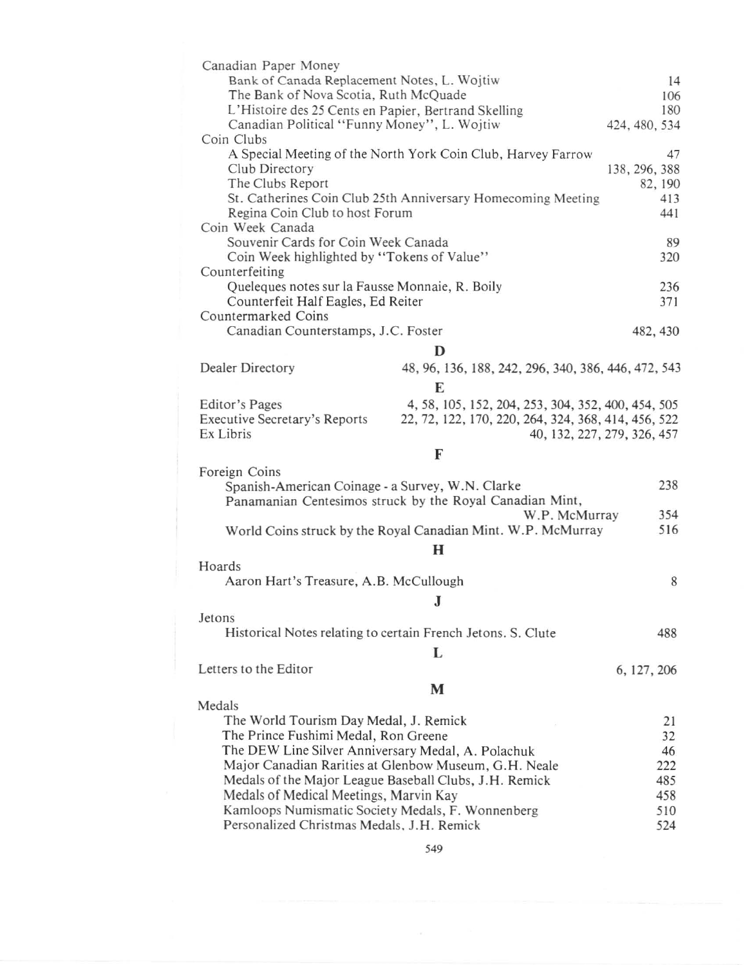| Canadian Paper Money                                                       |                                                              | 14                          |  |  |
|----------------------------------------------------------------------------|--------------------------------------------------------------|-----------------------------|--|--|
| Bank of Canada Replacement Notes, L. Wojtiw                                |                                                              |                             |  |  |
| The Bank of Nova Scotia, Ruth McQuade                                      |                                                              |                             |  |  |
| L'Histoire des 25 Cents en Papier, Bertrand Skelling                       |                                                              |                             |  |  |
| Canadian Political "Funny Money", L. Wojtiw<br>424, 480, 534<br>Coin Clubs |                                                              |                             |  |  |
|                                                                            | A Special Meeting of the North York Coin Club, Harvey Farrow | 47                          |  |  |
| Club Directory                                                             |                                                              | 138, 296, 388               |  |  |
| The Clubs Report                                                           |                                                              |                             |  |  |
| St. Catherines Coin Club 25th Anniversary Homecoming Meeting               |                                                              |                             |  |  |
| Regina Coin Club to host Forum                                             |                                                              |                             |  |  |
| Coin Week Canada                                                           |                                                              |                             |  |  |
| Souvenir Cards for Coin Week Canada                                        |                                                              |                             |  |  |
| Coin Week highlighted by "Tokens of Value"                                 |                                                              |                             |  |  |
| Counterfeiting                                                             |                                                              |                             |  |  |
| Queleques notes sur la Fausse Monnaie, R. Boily                            |                                                              | 236                         |  |  |
| Counterfeit Half Eagles, Ed Reiter                                         |                                                              | 371                         |  |  |
| Countermarked Coins                                                        |                                                              |                             |  |  |
| Canadian Counterstamps, J.C. Foster                                        |                                                              | 482, 430                    |  |  |
|                                                                            | D                                                            |                             |  |  |
| Dealer Directory                                                           | 48, 96, 136, 188, 242, 296, 340, 386, 446, 472, 543          |                             |  |  |
|                                                                            | E                                                            |                             |  |  |
| Editor's Pages                                                             | 4, 58, 105, 152, 204, 253, 304, 352, 400, 454, 505           |                             |  |  |
| <b>Executive Secretary's Reports</b>                                       | 22, 72, 122, 170, 220, 264, 324, 368, 414, 456, 522          |                             |  |  |
| Ex Libris                                                                  |                                                              | 40, 132, 227, 279, 326, 457 |  |  |
|                                                                            | F                                                            |                             |  |  |
| Foreign Coins                                                              |                                                              |                             |  |  |
| Spanish-American Coinage - a Survey, W.N. Clarke                           |                                                              | 238                         |  |  |
|                                                                            | Panamanian Centesimos struck by the Royal Canadian Mint,     |                             |  |  |
|                                                                            | W.P. McMurray                                                | 354                         |  |  |
|                                                                            | World Coins struck by the Royal Canadian Mint. W.P. McMurray | 516                         |  |  |
|                                                                            | H                                                            |                             |  |  |
| Hoards                                                                     |                                                              |                             |  |  |
| Aaron Hart's Treasure, A.B. McCullough                                     |                                                              | 8                           |  |  |
|                                                                            |                                                              |                             |  |  |
|                                                                            | ${\bf J}$                                                    |                             |  |  |
| Jetons                                                                     |                                                              |                             |  |  |
| Historical Notes relating to certain French Jetons. S. Clute               |                                                              | 488                         |  |  |
|                                                                            | L                                                            |                             |  |  |
| Letters to the Editor                                                      |                                                              | 6, 127, 206                 |  |  |
|                                                                            | M                                                            |                             |  |  |
| Medals                                                                     |                                                              |                             |  |  |
| The World Tourism Day Medal, J. Remick                                     |                                                              | 21                          |  |  |
| The Prince Fushimi Medal, Ron Greene                                       |                                                              |                             |  |  |
| The DEW Line Silver Anniversary Medal, A. Polachuk                         |                                                              |                             |  |  |
| Major Canadian Rarities at Glenbow Museum, G.H. Neale                      |                                                              |                             |  |  |
| Medals of the Major League Baseball Clubs, J.H. Remick                     |                                                              |                             |  |  |
| Medals of Medical Meetings, Marvin Kay                                     |                                                              | 458                         |  |  |
| Kamloops Numismatic Society Medals, F. Wonnenberg                          |                                                              | 510                         |  |  |
| Personalized Christmas Medals, J.H. Remick                                 |                                                              | 524                         |  |  |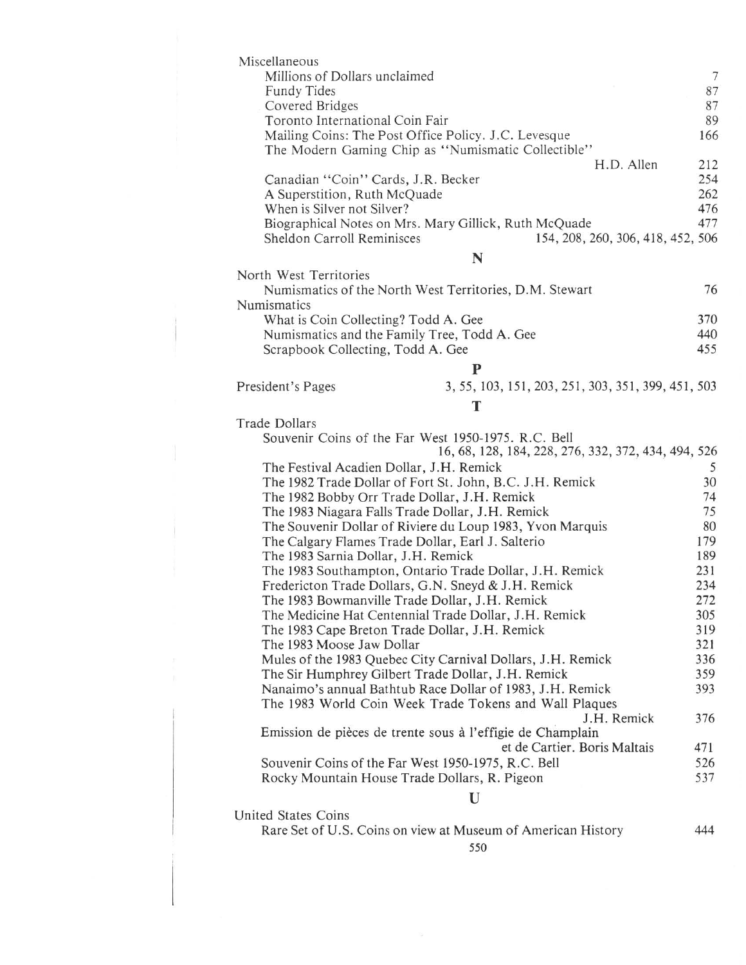| Miscellaneous                                                                                              |            |  |  |
|------------------------------------------------------------------------------------------------------------|------------|--|--|
| Millions of Dollars unclaimed                                                                              | 7          |  |  |
| Fundy Tides                                                                                                | 87         |  |  |
| Covered Bridges                                                                                            | 87         |  |  |
| Toronto International Coin Fair                                                                            | 89         |  |  |
| Mailing Coins: The Post Office Policy. J.C. Levesque<br>The Modern Gaming Chip as "Numismatic Collectible" | 166        |  |  |
| H.D. Allen                                                                                                 | 212        |  |  |
| Canadian "Coin" Cards, J.R. Becker                                                                         | 254        |  |  |
| A Superstition, Ruth McQuade                                                                               | 262        |  |  |
| When is Silver not Silver?                                                                                 | 476        |  |  |
| Biographical Notes on Mrs. Mary Gillick, Ruth McQuade                                                      | 477        |  |  |
| Sheldon Carroll Reminisces<br>154, 208, 260, 306, 418, 452, 506                                            |            |  |  |
| N                                                                                                          |            |  |  |
| North West Territories                                                                                     |            |  |  |
| Numismatics of the North West Territories, D.M. Stewart                                                    | 76         |  |  |
| Numismatics<br>What is Coin Collecting? Todd A. Gee                                                        | 370        |  |  |
| Numismatics and the Family Tree, Todd A. Gee                                                               | 440        |  |  |
| Scrapbook Collecting, Todd A. Gee                                                                          | 455        |  |  |
| ${\bf P}$                                                                                                  |            |  |  |
| 3, 55, 103, 151, 203, 251, 303, 351, 399, 451, 503<br>President's Pages                                    |            |  |  |
| T                                                                                                          |            |  |  |
| <b>Trade Dollars</b>                                                                                       |            |  |  |
| Souvenir Coins of the Far West 1950-1975. R.C. Bell                                                        |            |  |  |
| 16, 68, 128, 184, 228, 276, 332, 372, 434, 494, 526                                                        |            |  |  |
| The Festival Acadien Dollar, J.H. Remick                                                                   | 5          |  |  |
| The 1982 Trade Dollar of Fort St. John, B.C. J.H. Remick                                                   |            |  |  |
| The 1982 Bobby Orr Trade Dollar, J.H. Remick                                                               |            |  |  |
| The 1983 Niagara Falls Trade Dollar, J.H. Remick                                                           |            |  |  |
| The Souvenir Dollar of Riviere du Loup 1983, Yvon Marquis                                                  |            |  |  |
| The Calgary Flames Trade Dollar, Earl J. Salterio                                                          |            |  |  |
| The 1983 Sarnia Dollar, J.H. Remick<br>The 1983 Southampton, Ontario Trade Dollar, J.H. Remick             |            |  |  |
| Fredericton Trade Dollars, G.N. Sneyd & J.H. Remick                                                        |            |  |  |
| The 1983 Bowmanville Trade Dollar, J.H. Remick                                                             |            |  |  |
| The Medicine Hat Centennial Trade Dollar, J.H. Remick                                                      |            |  |  |
| The 1983 Cape Breton Trade Dollar, J.H. Remick                                                             |            |  |  |
| The 1983 Moose Jaw Dollar                                                                                  | 321        |  |  |
| Mules of the 1983 Quebec City Carnival Dollars, J.H. Remick                                                | 336<br>359 |  |  |
| The Sir Humphrey Gilbert Trade Dollar, J.H. Remick                                                         |            |  |  |
| Nanaimo's annual Bathtub Race Dollar of 1983, J.H. Remick                                                  | 393        |  |  |
| The 1983 World Coin Week Trade Tokens and Wall Plaques                                                     |            |  |  |
| J.H. Remick<br>Emission de pièces de trente sous à l'effigie de Champlain                                  | 376        |  |  |
| et de Cartier. Boris Maltais                                                                               | 471        |  |  |
| Souvenir Coins of the Far West 1950-1975, R.C. Bell                                                        | 526        |  |  |
| Rocky Mountain House Trade Dollars, R. Pigeon<br>537                                                       |            |  |  |
| U                                                                                                          |            |  |  |
| United States Coins                                                                                        |            |  |  |
|                                                                                                            |            |  |  |

Rare Set of U.S. Coins on view at Museum of American History

550

444